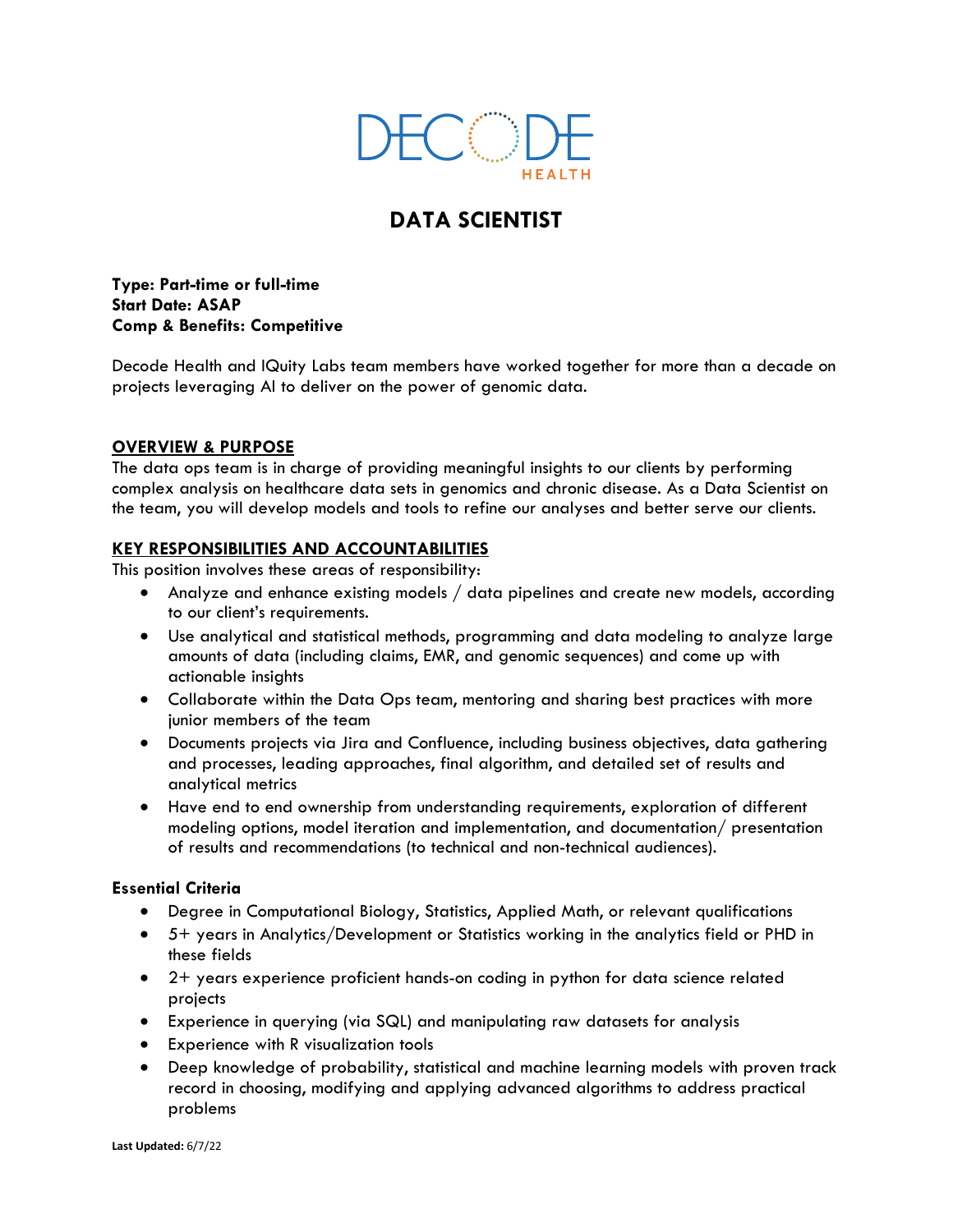

# **DATA SCIENTIST**

**Type: Part-time or full-time Start Date: ASAP Comp & Benefits: Competitive**

Decode Health and IQuity Labs team members have worked together for more than a decade on projects leveraging AI to deliver on the power of genomic data.

## **OVERVIEW & PURPOSE**

The data ops team is in charge of providing meaningful insights to our clients by performing complex analysis on healthcare data sets in genomics and chronic disease. As a Data Scientist on the team, you will develop models and tools to refine our analyses and better serve our clients.

## **KEY RESPONSIBILITIES AND ACCOUNTABILITIES**

This position involves these areas of responsibility:

- Analyze and enhance existing models / data pipelines and create new models, according to our client's requirements.
- Use analytical and statistical methods, programming and data modeling to analyze large amounts of data (including claims, EMR, and genomic sequences) and come up with actionable insights
- Collaborate within the Data Ops team, mentoring and sharing best practices with more junior members of the team
- Documents projects via Jira and Confluence, including business objectives, data gathering and processes, leading approaches, final algorithm, and detailed set of results and analytical metrics
- Have end to end ownership from understanding requirements, exploration of different modeling options, model iteration and implementation, and documentation/ presentation of results and recommendations (to technical and non-technical audiences).

## **Essential Criteria**

- Degree in Computational Biology, Statistics, Applied Math, or relevant qualifications
- 5+ years in Analytics/Development or Statistics working in the analytics field or PHD in these fields
- 2+ years experience proficient hands-on coding in python for data science related projects
- Experience in querying (via SQL) and manipulating raw datasets for analysis
- Experience with R visualization tools
- Deep knowledge of probability, statistical and machine learning models with proven track record in choosing, modifying and applying advanced algorithms to address practical problems